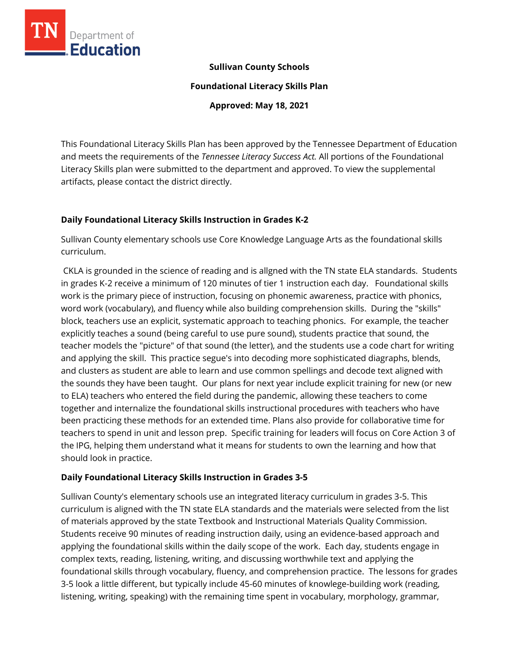

### **Sullivan County Schools**

**Foundational Literacy Skills Plan**

**Approved: May 18, 2021**

This Foundational Literacy Skills Plan has been approved by the Tennessee Department of Education and meets the requirements of the *Tennessee Literacy Success Act.* All portions of the Foundational Literacy Skills plan were submitted to the department and approved. To view the supplemental artifacts, please contact the district directly.

### **Daily Foundational Literacy Skills Instruction in Grades K-2**

Sullivan County elementary schools use Core Knowledge Language Arts as the foundational skills curriculum.

CKLA is grounded in the science of reading and is allgned with the TN state ELA standards. Students in grades K-2 receive a minimum of 120 minutes of tier 1 instruction each day. Foundational skills work is the primary piece of instruction, focusing on phonemic awareness, practice with phonics, word work (vocabulary), and fluency while also building comprehension skills. During the "skills" block, teachers use an explicit, systematic approach to teaching phonics. For example, the teacher explicitly teaches a sound (being careful to use pure sound), students practice that sound, the teacher models the "picture" of that sound (the letter), and the students use a code chart for writing and applying the skill. This practice segue's into decoding more sophisticated diagraphs, blends, and clusters as student are able to learn and use common spellings and decode text aligned with the sounds they have been taught. Our plans for next year include explicit training for new (or new to ELA) teachers who entered the field during the pandemic, allowing these teachers to come together and internalize the foundational skills instructional procedures with teachers who have been practicing these methods for an extended time. Plans also provide for collaborative time for teachers to spend in unit and lesson prep. Specific training for leaders will focus on Core Action 3 of the IPG, helping them understand what it means for students to own the learning and how that should look in practice.

### **Daily Foundational Literacy Skills Instruction in Grades 3-5**

Sullivan County's elementary schools use an integrated literacy curriculum in grades 3-5. This curriculum is aligned with the TN state ELA standards and the materials were selected from the list of materials approved by the state Textbook and Instructional Materials Quality Commission. Students receive 90 minutes of reading instruction daily, using an evidence-based approach and applying the foundational skills within the daily scope of the work. Each day, students engage in complex texts, reading, listening, writing, and discussing worthwhile text and applying the foundational skills through vocabulary, fluency, and comprehension practice. The lessons for grades 3-5 look a little different, but typically include 45-60 minutes of knowlege-building work (reading, listening, writing, speaking) with the remaining time spent in vocabulary, morphology, grammar,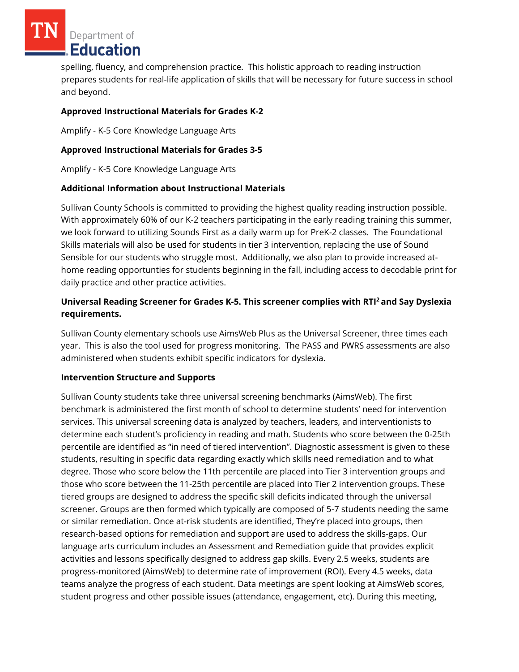Department of Education

spelling, fluency, and comprehension practice. This holistic approach to reading instruction prepares students for real-life application of skills that will be necessary for future success in school and beyond.

### **Approved Instructional Materials for Grades K-2**

Amplify - K-5 Core Knowledge Language Arts

### **Approved Instructional Materials for Grades 3-5**

Amplify - K-5 Core Knowledge Language Arts

### **Additional Information about Instructional Materials**

Sullivan County Schools is committed to providing the highest quality reading instruction possible. With approximately 60% of our K-2 teachers participating in the early reading training this summer, we look forward to utilizing Sounds First as a daily warm up for PreK-2 classes. The Foundational Skills materials will also be used for students in tier 3 intervention, replacing the use of Sound Sensible for our students who struggle most. Additionally, we also plan to provide increased athome reading opportunties for students beginning in the fall, including access to decodable print for daily practice and other practice activities.

# **Universal Reading Screener for Grades K-5. This screener complies with RTI<sup>2</sup>and Say Dyslexia requirements.**

Sullivan County elementary schools use AimsWeb Plus as the Universal Screener, three times each year. This is also the tool used for progress monitoring. The PASS and PWRS assessments are also administered when students exhibit specific indicators for dyslexia.

### **Intervention Structure and Supports**

Sullivan County students take three universal screening benchmarks (AimsWeb). The first benchmark is administered the first month of school to determine students' need for intervention services. This universal screening data is analyzed by teachers, leaders, and interventionists to determine each student's proficiency in reading and math. Students who score between the 0-25th percentile are identified as "in need of tiered intervention". Diagnostic assessment is given to these students, resulting in specific data regarding exactly which skills need remediation and to what degree. Those who score below the 11th percentile are placed into Tier 3 intervention groups and those who score between the 11-25th percentile are placed into Tier 2 intervention groups. These tiered groups are designed to address the specific skill deficits indicated through the universal screener. Groups are then formed which typically are composed of 5-7 students needing the same or similar remediation. Once at-risk students are identified, They're placed into groups, then research-based options for remediation and support are used to address the skills-gaps. Our language arts curriculum includes an Assessment and Remediation guide that provides explicit activities and lessons specifically designed to address gap skills. Every 2.5 weeks, students are progress-monitored (AimsWeb) to determine rate of improvement (ROI). Every 4.5 weeks, data teams analyze the progress of each student. Data meetings are spent looking at AimsWeb scores, student progress and other possible issues (attendance, engagement, etc). During this meeting,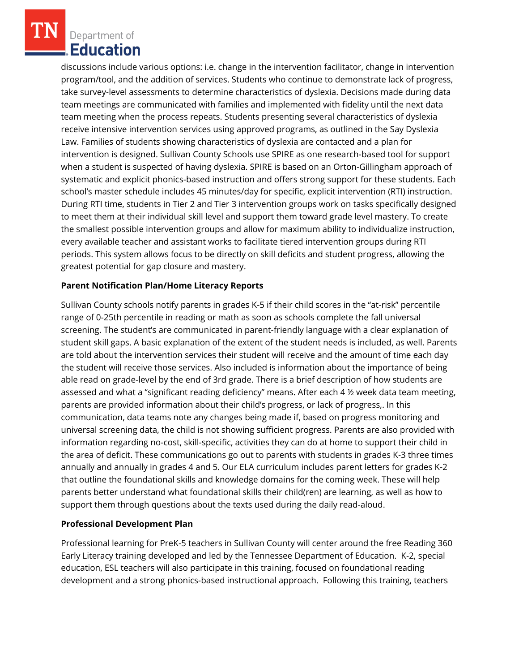Department of **Education** 

discussions include various options: i.e. change in the intervention facilitator, change in intervention program/tool, and the addition of services. Students who continue to demonstrate lack of progress, take survey-level assessments to determine characteristics of dyslexia. Decisions made during data team meetings are communicated with families and implemented with fidelity until the next data team meeting when the process repeats. Students presenting several characteristics of dyslexia receive intensive intervention services using approved programs, as outlined in the Say Dyslexia Law. Families of students showing characteristics of dyslexia are contacted and a plan for intervention is designed. Sullivan County Schools use SPIRE as one research-based tool for support when a student is suspected of having dyslexia. SPIRE is based on an Orton-Gillingham approach of systematic and explicit phonics-based instruction and offers strong support for these students. Each school's master schedule includes 45 minutes/day for specific, explicit intervention (RTI) instruction. During RTI time, students in Tier 2 and Tier 3 intervention groups work on tasks specifically designed to meet them at their individual skill level and support them toward grade level mastery. To create the smallest possible intervention groups and allow for maximum ability to individualize instruction, every available teacher and assistant works to facilitate tiered intervention groups during RTI periods. This system allows focus to be directly on skill deficits and student progress, allowing the greatest potential for gap closure and mastery.

### **Parent Notification Plan/Home Literacy Reports**

Sullivan County schools notify parents in grades K-5 if their child scores in the "at-risk" percentile range of 0-25th percentile in reading or math as soon as schools complete the fall universal screening. The student's are communicated in parent-friendly language with a clear explanation of student skill gaps. A basic explanation of the extent of the student needs is included, as well. Parents are told about the intervention services their student will receive and the amount of time each day the student will receive those services. Also included is information about the importance of being able read on grade-level by the end of 3rd grade. There is a brief description of how students are assessed and what a "significant reading deficiency" means. After each 4 ½ week data team meeting, parents are provided information about their child's progress, or lack of progress,. In this communication, data teams note any changes being made if, based on progress monitoring and universal screening data, the child is not showing sufficient progress. Parents are also provided with information regarding no-cost, skill-specific, activities they can do at home to support their child in the area of deficit. These communications go out to parents with students in grades K-3 three times annually and annually in grades 4 and 5. Our ELA curriculum includes parent letters for grades K-2 that outline the foundational skills and knowledge domains for the coming week. These will help parents better understand what foundational skills their child(ren) are learning, as well as how to support them through questions about the texts used during the daily read-aloud.

# **Professional Development Plan**

Professional learning for PreK-5 teachers in Sullivan County will center around the free Reading 360 Early Literacy training developed and led by the Tennessee Department of Education. K-2, special education, ESL teachers will also participate in this training, focused on foundational reading development and a strong phonics-based instructional approach. Following this training, teachers